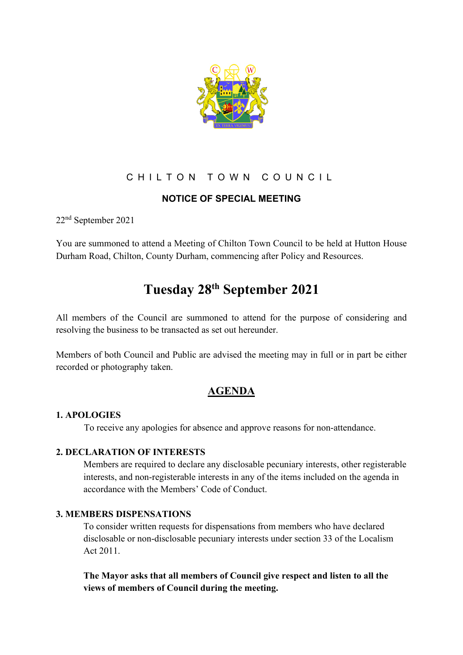

# CHILTON TOWN COUNCIL

## **NOTICE OF SPECIAL MEETING**

22nd September 2021

You are summoned to attend a Meeting of Chilton Town Council to be held at Hutton House Durham Road, Chilton, County Durham, commencing after Policy and Resources.

# **Tuesday 28th September 2021**

All members of the Council are summoned to attend for the purpose of considering and resolving the business to be transacted as set out hereunder.

Members of both Council and Public are advised the meeting may in full or in part be either recorded or photography taken.

# **AGENDA**

#### **1. APOLOGIES**

To receive any apologies for absence and approve reasons for non-attendance.

#### **2. DECLARATION OF INTERESTS**

Members are required to declare any disclosable pecuniary interests, other registerable interests, and non-registerable interests in any of the items included on the agenda in accordance with the Members' Code of Conduct.

## **3. MEMBERS DISPENSATIONS**

To consider written requests for dispensations from members who have declared disclosable or non-disclosable pecuniary interests under section 33 of the Localism Act 2011.

## **The Mayor asks that all members of Council give respect and listen to all the views of members of Council during the meeting.**